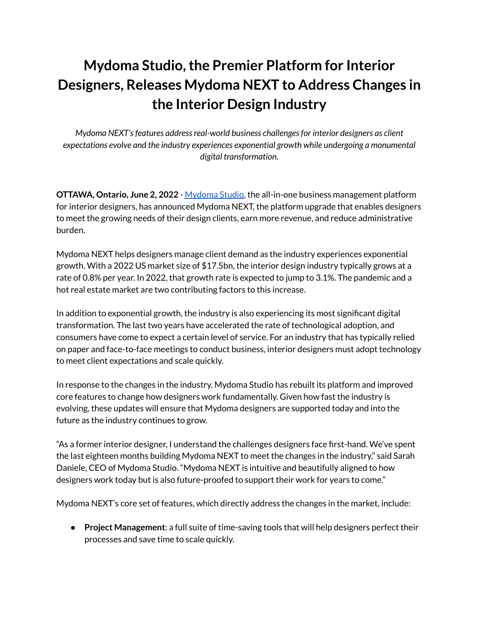## **Mydoma Studio,the Premier Platform for Interior Designers, Releases Mydoma NEXT to Address Changes in the Interior Design Industry**

*Mydoma NEXT's features address real-world business challenges for interior designers as client expectations evolve and the industry experiences exponential growth while undergoing a monumental digital transformation.*

**OTTAWA, Ontario, June 2, 2022** - [Mydoma](https://www.mydomastudio.com/) Studio, the all-in-one business management platform for interior designers, has announced Mydoma NEXT, the platform upgrade that enables designers to meet the growing needs of their design clients, earn more revenue, and reduce administrative burden.

Mydoma NEXT helps designers manage client demand as the industry experiences exponential growth. With a 2022 US market size of \$17.5bn, the interior design industry typically grows at a rate of 0.8% per year. In 2022, that growth rate is expected to jump to 3.1%. The pandemic and a hot real estate market are two contributing factors to this increase.

In addition to exponential growth, the industry is also experiencing its most significant digital transformation. The last two years have accelerated the rate of technological adoption, and consumers have come to expect a certain level of service. For an industry that has typically relied on paper and face-to-face meetings to conduct business, interior designers must adopt technology to meet client expectations and scale quickly.

In response to the changes in the industry, Mydoma Studio has rebuilt its platform and improved core features to change how designers work fundamentally. Given how fast the industry is evolving, these updates will ensure that Mydoma designers are supported today and into the future as the industry continues to grow.

"As a former interior designer, I understand the challenges designers face first-hand. We've spent the last eighteen months building Mydoma NEXT to meet the changes in the industry," said Sarah Daniele, CEO of Mydoma Studio. "Mydoma NEXT is intuitive and beautifully aligned to how designers work today but is also future-proofed to support their work for years to come."

Mydoma NEXT's core set of features, which directly address the changes in the market, include:

● **Project Management**: a full suite of time-saving tools that will help designers perfect their processes and save time to scale quickly.